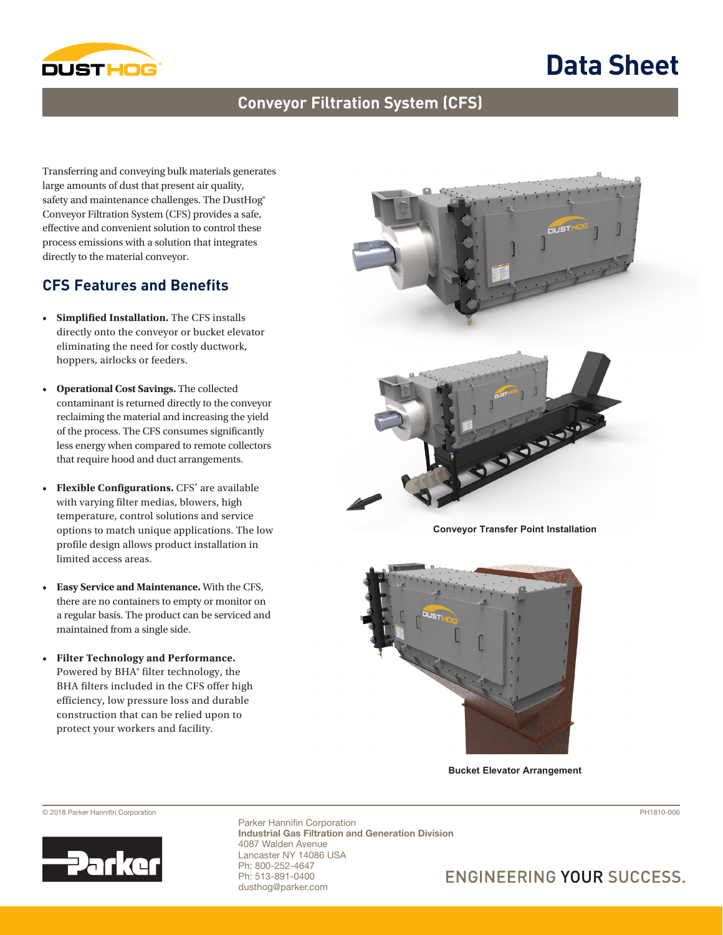

# **Data Sheet**

### **Conveyor Filtration System (CFS)**

Transferring and conveying bulk materials generates large amounts of dust that present air quality, safety and maintenance challenges. The DustHog® Conveyor Filtration System (CFS) provides a safe, effective and convenient solution to control these process emissions with a solution that integrates directly to the material conveyor.

#### **CFS Features and Benefits**

- **Simplified Installation.** The CFS installs directly onto the conveyor or bucket elevator eliminating the need for costly ductwork, hoppers, airlocks or feeders.
- **Operational Cost Savings.** The collected contaminant is returned directly to the conveyor reclaiming the material and increasing the yield of the process. The CFS consumes significantly less energy when compared to remote collectors that require hood and duct arrangements.
- **Flexible Configurations.** CFS' are available with varying filter medias, blowers, high temperature, control solutions and service options to match unique applications. The low profile design allows product installation in limited access areas.
- **Easy Service and Maintenance.** With the CFS, there are no containers to empty or monitor on a regular basis. The product can be serviced and maintained from a single side.
- **Filter Technology and Performance.**  Powered by BHA® filter technology, the BHA filters included in the CFS offer high efficiency, low pressure loss and durable construction that can be relied upon to protect your workers and facility.



**Conveyor Transfer Point Installation**



**Bucket Elevator Arrangement**



© 2018 Parker Hannifin Corporation PH1810-006 Parker Hannifin Corporation Industrial Gas Filtration and Generation Division 4087 Walden Avenue Lancaster NY 14086 USA Ph: 800-252-4647 Ph: 513-891-0400 dusthog@parker.com

## **ENGINEERING YOUR SUCCESS.**